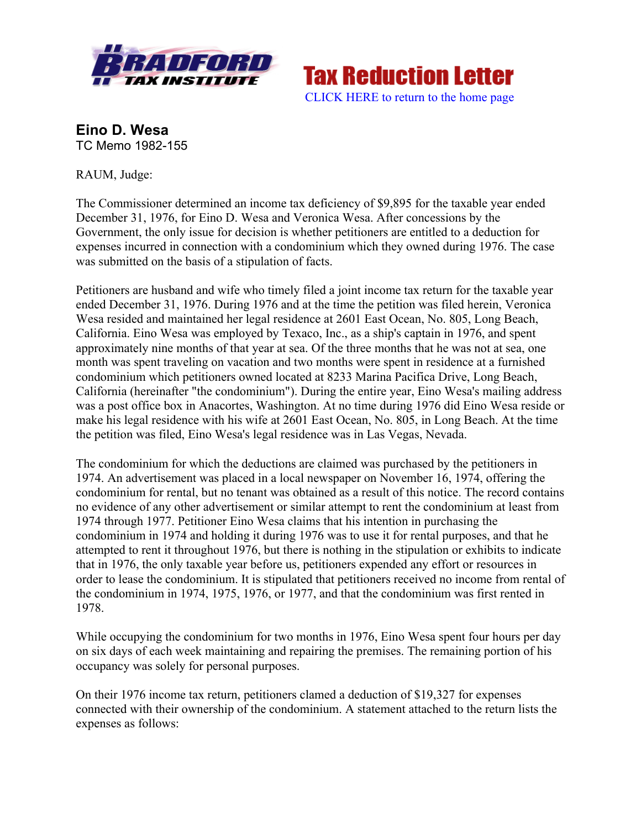

**Tax Reduction Letter** [CLICK HERE to return to the home page](www.bradfordtaxinstitute.com)

**Eino D. Wesa** TC Memo 1982-155

RAUM, Judge:

The Commissioner determined an income tax deficiency of \$9,895 for the taxable year ended December 31, 1976, for Eino D. Wesa and Veronica Wesa. After concessions by the Government, the only issue for decision is whether petitioners are entitled to a deduction for expenses incurred in connection with a condominium which they owned during 1976. The case was submitted on the basis of a stipulation of facts.

Petitioners are husband and wife who timely filed a joint income tax return for the taxable year ended December 31, 1976. During 1976 and at the time the petition was filed herein, Veronica Wesa resided and maintained her legal residence at 2601 East Ocean, No. 805, Long Beach, California. Eino Wesa was employed by Texaco, Inc., as a ship's captain in 1976, and spent approximately nine months of that year at sea. Of the three months that he was not at sea, one month was spent traveling on vacation and two months were spent in residence at a furnished condominium which petitioners owned located at 8233 Marina Pacifica Drive, Long Beach, California (hereinafter "the condominium"). During the entire year, Eino Wesa's mailing address was a post office box in Anacortes, Washington. At no time during 1976 did Eino Wesa reside or make his legal residence with his wife at 2601 East Ocean, No. 805, in Long Beach. At the time the petition was filed, Eino Wesa's legal residence was in Las Vegas, Nevada.

The condominium for which the deductions are claimed was purchased by the petitioners in 1974. An advertisement was placed in a local newspaper on November 16, 1974, offering the condominium for rental, but no tenant was obtained as a result of this notice. The record contains no evidence of any other advertisement or similar attempt to rent the condominium at least from 1974 through 1977. Petitioner Eino Wesa claims that his intention in purchasing the condominium in 1974 and holding it during 1976 was to use it for rental purposes, and that he attempted to rent it throughout 1976, but there is nothing in the stipulation or exhibits to indicate that in 1976, the only taxable year before us, petitioners expended any effort or resources in order to lease the condominium. It is stipulated that petitioners received no income from rental of the condominium in 1974, 1975, 1976, or 1977, and that the condominium was first rented in 1978.

While occupying the condominium for two months in 1976, Eino Wesa spent four hours per day on six days of each week maintaining and repairing the premises. The remaining portion of his occupancy was solely for personal purposes.

On their 1976 income tax return, petitioners clamed a deduction of \$19,327 for expenses connected with their ownership of the condominium. A statement attached to the return lists the expenses as follows: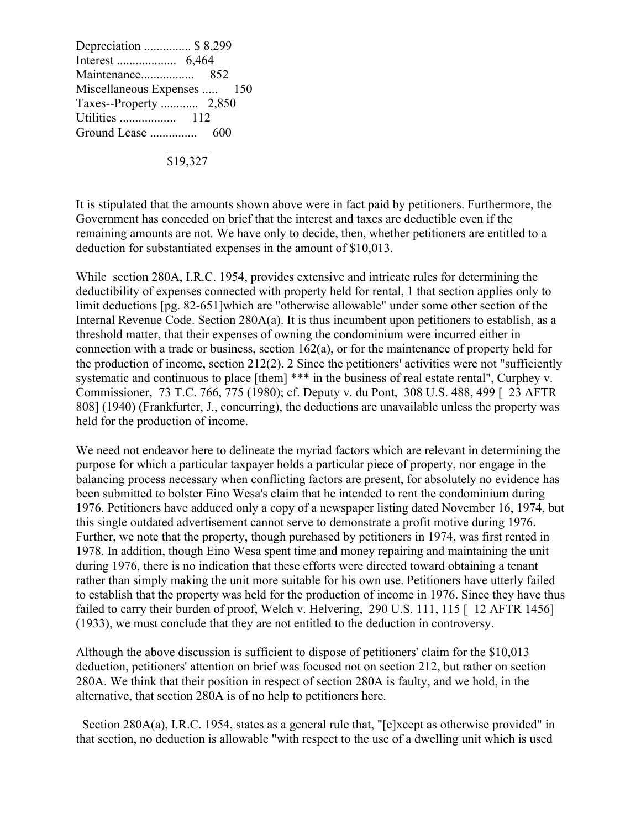Depreciation ............... \$ 8,299 Interest ................... 6,464 Maintenance................. 852 Miscellaneous Expenses ..... 150 Taxes--Property ............ 2,850 Utilities .................. 112 Ground Lease ............... 600  $\mathcal{L}=\mathcal{L}=\mathcal{L}=\mathcal{L}=\mathcal{L}=\mathcal{L}=\mathcal{L}=\mathcal{L}=\mathcal{L}=\mathcal{L}=\mathcal{L}=\mathcal{L}=\mathcal{L}=\mathcal{L}=\mathcal{L}=\mathcal{L}=\mathcal{L}=\mathcal{L}=\mathcal{L}=\mathcal{L}=\mathcal{L}=\mathcal{L}=\mathcal{L}=\mathcal{L}=\mathcal{L}=\mathcal{L}=\mathcal{L}=\mathcal{L}=\mathcal{L}=\mathcal{L}=\mathcal{L}=\mathcal{L}=\mathcal{L}=\mathcal{L}=\mathcal{L}=\mathcal{L}=\mathcal{$ 

 $\overline{$19,327}$ 

It is stipulated that the amounts shown above were in fact paid by petitioners. Furthermore, the Government has conceded on brief that the interest and taxes are deductible even if the remaining amounts are not. We have only to decide, then, whether petitioners are entitled to a deduction for substantiated expenses in the amount of \$10,013.

While section 280A, I.R.C. 1954, provides extensive and intricate rules for determining the deductibility of expenses connected with property held for rental, 1 that section applies only to limit deductions [pg. 82-651]which are "otherwise allowable" under some other section of the Internal Revenue Code. Section 280A(a). It is thus incumbent upon petitioners to establish, as a threshold matter, that their expenses of owning the condominium were incurred either in connection with a trade or business, section 162(a), or for the maintenance of property held for the production of income, section 212(2). 2 Since the petitioners' activities were not "sufficiently systematic and continuous to place [them] \*\*\* in the business of real estate rental", Curphey v. Commissioner, 73 T.C. 766, 775 (1980); cf. Deputy v. du Pont, 308 U.S. 488, 499 [ 23 AFTR 808] (1940) (Frankfurter, J., concurring), the deductions are unavailable unless the property was held for the production of income.

We need not endeavor here to delineate the myriad factors which are relevant in determining the purpose for which a particular taxpayer holds a particular piece of property, nor engage in the balancing process necessary when conflicting factors are present, for absolutely no evidence has been submitted to bolster Eino Wesa's claim that he intended to rent the condominium during 1976. Petitioners have adduced only a copy of a newspaper listing dated November 16, 1974, but this single outdated advertisement cannot serve to demonstrate a profit motive during 1976. Further, we note that the property, though purchased by petitioners in 1974, was first rented in 1978. In addition, though Eino Wesa spent time and money repairing and maintaining the unit during 1976, there is no indication that these efforts were directed toward obtaining a tenant rather than simply making the unit more suitable for his own use. Petitioners have utterly failed to establish that the property was held for the production of income in 1976. Since they have thus failed to carry their burden of proof, Welch v. Helvering, 290 U.S. 111, 115 [ 12 AFTR 1456] (1933), we must conclude that they are not entitled to the deduction in controversy.

Although the above discussion is sufficient to dispose of petitioners' claim for the \$10,013 deduction, petitioners' attention on brief was focused not on section 212, but rather on section 280A. We think that their position in respect of section 280A is faulty, and we hold, in the alternative, that section 280A is of no help to petitioners here.

 Section 280A(a), I.R.C. 1954, states as a general rule that, "[e]xcept as otherwise provided" in that section, no deduction is allowable "with respect to the use of a dwelling unit which is used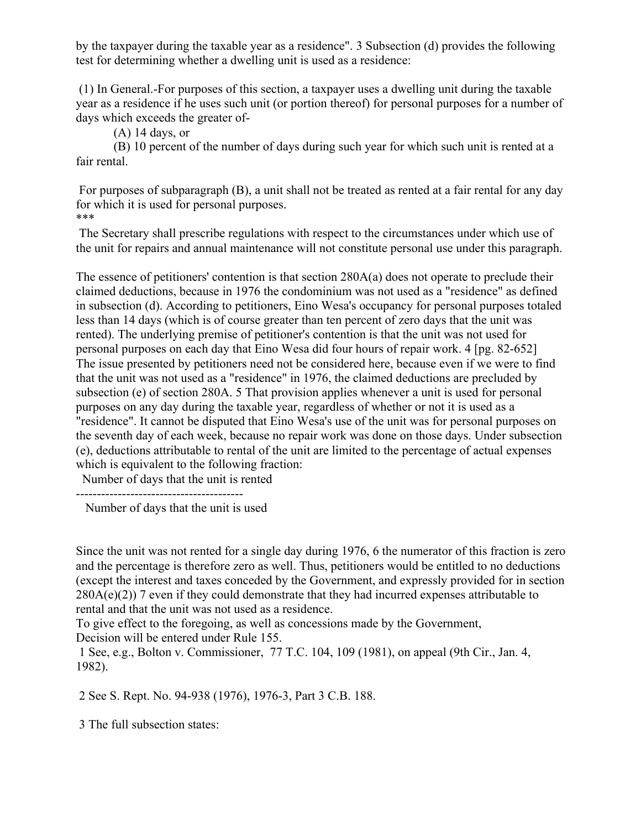by the taxpayer during the taxable year as a residence". 3 Subsection (d) provides the following test for determining whether a dwelling unit is used as a residence:

(1) In General.-For purposes of this section, a taxpayer uses a dwelling unit during the taxable year as a residence if he uses such unit (or portion thereof) for personal purposes for a number of days which exceeds the greater of-

(A) 14 days, or

(B) 10 percent of the number of days during such year for which such unit is rented at a fair rental.

For purposes of subparagraph (B), a unit shall not be treated as rented at a fair rental for any day for which it is used for personal purposes. \*\*\*

the unit for repairs and annual maintenance will not constitute personal use under this paragraph.

The Secretary shall prescribe regulations with respect to the circumstances under which use of

The essence of petitioners' contention is that section 280A(a) does not operate to preclude their claimed deductions, because in 1976 the condominium was not used as a "residence" as defined in subsection (d). According to petitioners, Eino Wesa's occupancy for personal purposes totaled less than 14 days (which is of course greater than ten percent of zero days that the unit was rented). The underlying premise of petitioner's contention is that the unit was not used for personal purposes on each day that Eino Wesa did four hours of repair work. 4 [pg. 82-652] The issue presented by petitioners need not be considered here, because even if we were to find that the unit was not used as a "residence" in 1976, the claimed deductions are precluded by subsection (e) of section 280A. 5 That provision applies whenever a unit is used for personal purposes on any day during the taxable year, regardless of whether or not it is used as a "residence". It cannot be disputed that Eino Wesa's use of the unit was for personal purposes on the seventh day of each week, because no repair work was done on those days. Under subsection (e), deductions attributable to rental of the unit are limited to the percentage of actual expenses which is equivalent to the following fraction:

Number of days that the unit is rented

----------------------------------------

Number of days that the unit is used

Since the unit was not rented for a single day during 1976, 6 the numerator of this fraction is zero and the percentage is therefore zero as well. Thus, petitioners would be entitled to no deductions (except the interest and taxes conceded by the Government, and expressly provided for in section  $280A(e)(2)$ ) 7 even if they could demonstrate that they had incurred expenses attributable to rental and that the unit was not used as a residence.

To give effect to the foregoing, as well as concessions made by the Government, Decision will be entered under Rule 155.

1 See, e.g., Bolton v. Commissioner, 77 T.C. 104, 109 (1981), on appeal (9th Cir., Jan. 4, 1982).

2 See S. Rept. No. 94-938 (1976), 1976-3, Part 3 C.B. 188.

3 The full subsection states: